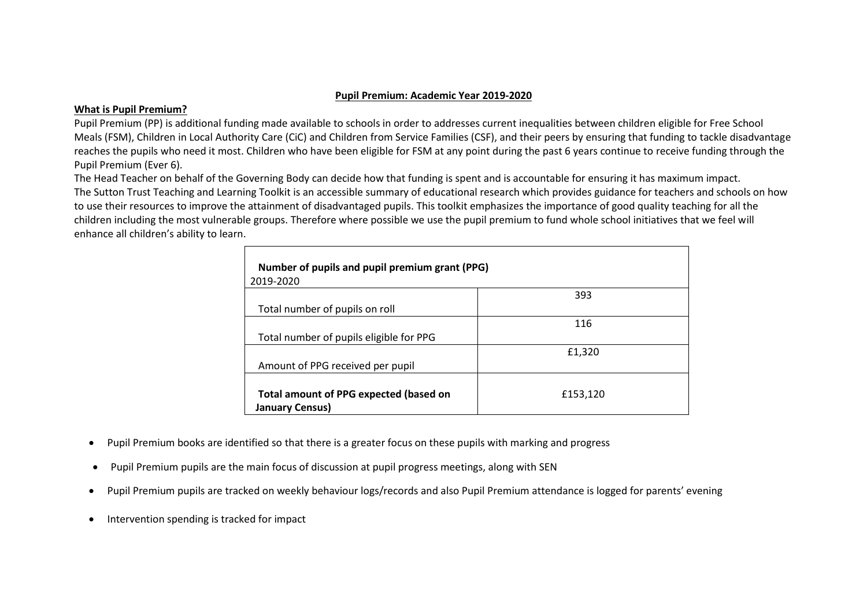### **Pupil Premium: Academic Year 2019-2020**

### **What is Pupil Premium?**

Pupil Premium (PP) is additional funding made available to schools in order to addresses current inequalities between children eligible for Free School Meals (FSM), Children in Local Authority Care (CiC) and Children from Service Families (CSF), and their peers by ensuring that funding to tackle disadvantage reaches the pupils who need it most. Children who have been eligible for FSM at any point during the past 6 years continue to receive funding through the Pupil Premium (Ever 6).

The Head Teacher on behalf of the Governing Body can decide how that funding is spent and is accountable for ensuring it has maximum impact. The Sutton Trust Teaching and Learning Toolkit is an accessible summary of educational research which provides guidance for teachers and schools on how to use their resources to improve the attainment of disadvantaged pupils. This toolkit emphasizes the importance of good quality teaching for all the children including the most vulnerable groups. Therefore where possible we use the pupil premium to fund whole school initiatives that we feel will enhance all children's ability to learn.

| Number of pupils and pupil premium grant (PPG)                          |          |  |  |  |
|-------------------------------------------------------------------------|----------|--|--|--|
| 2019-2020                                                               |          |  |  |  |
|                                                                         | 393      |  |  |  |
| Total number of pupils on roll                                          |          |  |  |  |
|                                                                         | 116      |  |  |  |
| Total number of pupils eligible for PPG                                 |          |  |  |  |
|                                                                         | £1,320   |  |  |  |
| Amount of PPG received per pupil                                        |          |  |  |  |
| <b>Total amount of PPG expected (based on</b><br><b>January Census)</b> | £153,120 |  |  |  |

- Pupil Premium books are identified so that there is a greater focus on these pupils with marking and progress
- Pupil Premium pupils are the main focus of discussion at pupil progress meetings, along with SEN
- Pupil Premium pupils are tracked on weekly behaviour logs/records and also Pupil Premium attendance is logged for parents' evening
- Intervention spending is tracked for impact

 $\mathbf{r}$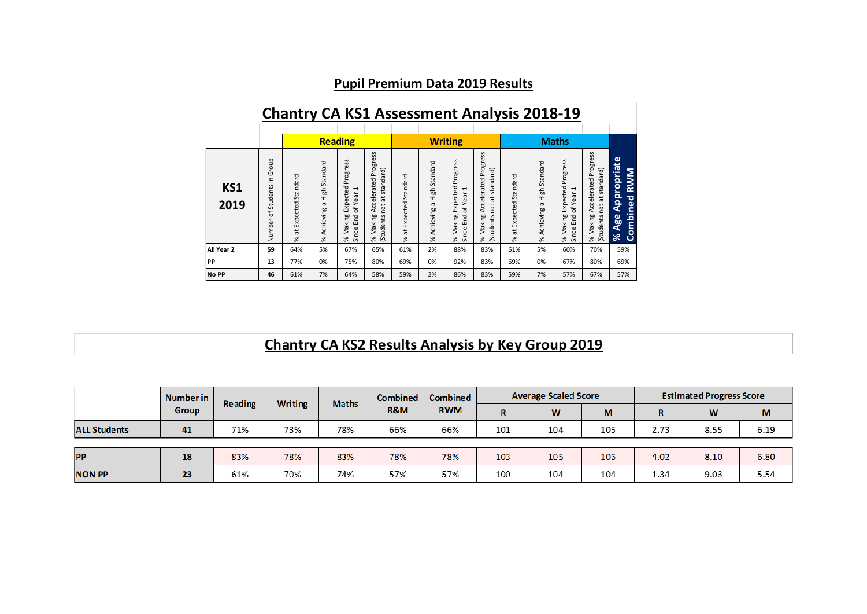|              |                                                                |                                 |                                             |                                                                                                                                      |                                                                                                       | <b>Chantry CA KS1 Assessment Analysis 2018-19</b> |                                                  |                                                                                     |                                                                            |                                 |                                             |                                                                                           |                                                                                          |                                                                                    |
|--------------|----------------------------------------------------------------|---------------------------------|---------------------------------------------|--------------------------------------------------------------------------------------------------------------------------------------|-------------------------------------------------------------------------------------------------------|---------------------------------------------------|--------------------------------------------------|-------------------------------------------------------------------------------------|----------------------------------------------------------------------------|---------------------------------|---------------------------------------------|-------------------------------------------------------------------------------------------|------------------------------------------------------------------------------------------|------------------------------------------------------------------------------------|
|              |                                                                |                                 |                                             | <b>Reading</b>                                                                                                                       |                                                                                                       |                                                   |                                                  | <b>Writing</b>                                                                      |                                                                            |                                 |                                             | <b>Maths</b>                                                                              |                                                                                          |                                                                                    |
| KS1<br>2019  | Group<br>$\subseteq$<br>$\cdot$ $-$<br>Students<br>Ⴆ<br>Number | Standard<br>Expected<br>ă<br>Se | High Standard<br>$\sigma$<br>Achieving<br>% | Progress<br>Expected<br>$\overline{\phantom{0}}$<br>σ<br>$\omega$<br>≻<br>ď<br>Making<br>End<br>nce<br>$\geqslant$<br>$\overline{5}$ | SS<br>Φ<br>듧<br>Pro<br>standard)<br>Accelerated<br>ä<br><b>pct</b><br>Making<br>(Students<br>$\aleph$ | at Expected Standard<br>%                         | Standard<br>High:<br>$\sigma$<br>Achieving<br>×, | SS<br>ogres<br>՟<br>cted<br>J<br>of Year<br>Expe<br>Since End<br>Making<br>$\aleph$ | Progress<br>standard)<br>Accelerated<br>tā<br>not<br>% Making<br>(Students | Standard<br>Expected<br>ã<br>×, | High Standard<br>$\sigma$<br>Achieving<br>% | Progress<br>Expected<br>$\mathbf \tau$<br>Year<br>Ⴆ<br>Making<br>Since End<br>$\geqslant$ | Progress<br>standard)<br>Accelerated<br>$\vec{a}$<br><b>pot</b><br>% Making<br>(Students | Appropriate<br>Σ<br><b>RW</b><br><b>P</b> o<br>Ξ<br>.=<br>Age<br>Combi<br>$\aleph$ |
| All Year 2   | 59                                                             | 64%                             | 5%                                          | 67%                                                                                                                                  | 65%                                                                                                   | 61%                                               | 2%                                               | 88%                                                                                 | 83%                                                                        | 61%                             | 5%                                          | 60%                                                                                       | 70%                                                                                      | 59%                                                                                |
| <b>IPP</b>   | 13                                                             | 77%                             | 0%                                          | 75%                                                                                                                                  | 80%                                                                                                   | 69%                                               | 0%                                               | 92%                                                                                 | 83%                                                                        | 69%                             | 0%                                          | 67%                                                                                       | 80%                                                                                      | 69%                                                                                |
| <b>No PP</b> | 46                                                             | 61%                             | 7%                                          | 64%                                                                                                                                  | 58%                                                                                                   | 59%                                               | 2%                                               | 86%                                                                                 | 83%                                                                        | 59%                             | 7%                                          | 57%                                                                                       | 67%                                                                                      | 57%                                                                                |

# **Pupil Premium Data 2019 Results**

# **Chantry CA KS2 Results Analysis by Key Group 2019**

|                     | Number in<br><b>Writing</b><br>Reading | <b>Maths</b> | <b>Combined</b> | Combined | <b>Average Scaled Score</b> |            |     | <b>Estimated Progress Score</b> |     |      |      |      |
|---------------------|----------------------------------------|--------------|-----------------|----------|-----------------------------|------------|-----|---------------------------------|-----|------|------|------|
|                     | Group                                  |              |                 |          | <b>R&amp;M</b>              | <b>RWM</b> | R   | W                               | M   | R    | W    | M    |
| <b>ALL Students</b> | 41                                     | 71%          | 73%             | 78%      | 66%                         | 66%        | 101 | 104                             | 105 | 2.73 | 8.55 | 6.19 |
|                     |                                        |              |                 |          |                             |            |     |                                 |     |      |      |      |
| <b>PP</b>           | 18                                     | 83%          | 78%             | 83%      | 78%                         | 78%        | 103 | 105                             | 106 | 4.02 | 8.10 | 6.80 |
| <b>NON PP</b>       | 23                                     | 61%          | 70%             | 74%      | 57%                         | 57%        | 100 | 104                             | 104 | 1.34 | 9.03 | 5.54 |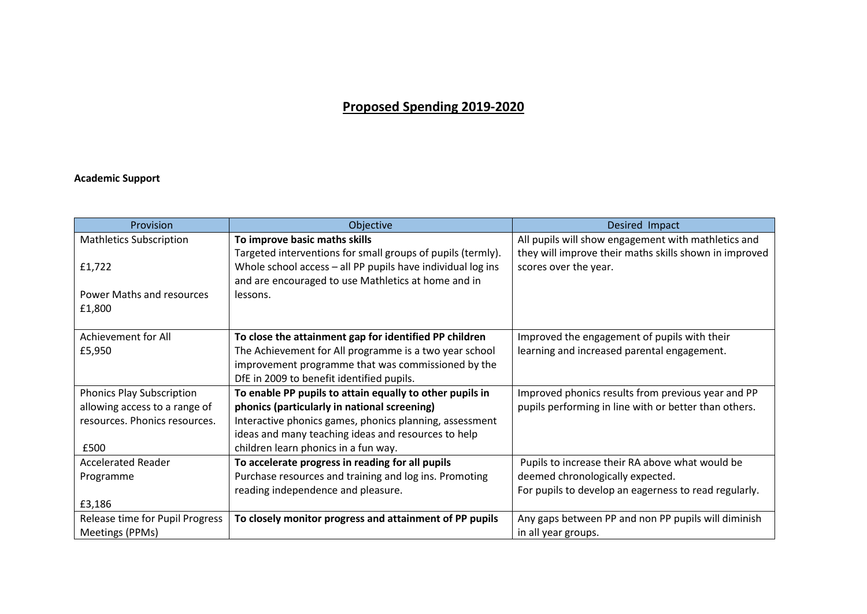## **Proposed Spending 2019-2020**

### **Academic Support**

| Provision                        | Objective                                                   | Desired Impact                                         |
|----------------------------------|-------------------------------------------------------------|--------------------------------------------------------|
| <b>Mathletics Subscription</b>   | To improve basic maths skills                               | All pupils will show engagement with mathletics and    |
|                                  | Targeted interventions for small groups of pupils (termly). | they will improve their maths skills shown in improved |
| £1,722                           | Whole school access - all PP pupils have individual log ins | scores over the year.                                  |
|                                  | and are encouraged to use Mathletics at home and in         |                                                        |
| Power Maths and resources        | lessons.                                                    |                                                        |
| £1,800                           |                                                             |                                                        |
|                                  |                                                             |                                                        |
| Achievement for All              | To close the attainment gap for identified PP children      | Improved the engagement of pupils with their           |
| £5,950                           | The Achievement for All programme is a two year school      | learning and increased parental engagement.            |
|                                  | improvement programme that was commissioned by the          |                                                        |
|                                  | DfE in 2009 to benefit identified pupils.                   |                                                        |
| <b>Phonics Play Subscription</b> | To enable PP pupils to attain equally to other pupils in    | Improved phonics results from previous year and PP     |
| allowing access to a range of    | phonics (particularly in national screening)                | pupils performing in line with or better than others.  |
| resources. Phonics resources.    | Interactive phonics games, phonics planning, assessment     |                                                        |
|                                  | ideas and many teaching ideas and resources to help         |                                                        |
| £500                             | children learn phonics in a fun way.                        |                                                        |
| <b>Accelerated Reader</b>        | To accelerate progress in reading for all pupils            | Pupils to increase their RA above what would be        |
| Programme                        | Purchase resources and training and log ins. Promoting      | deemed chronologically expected.                       |
|                                  | reading independence and pleasure.                          | For pupils to develop an eagerness to read regularly.  |
| £3,186                           |                                                             |                                                        |
| Release time for Pupil Progress  | To closely monitor progress and attainment of PP pupils     | Any gaps between PP and non PP pupils will diminish    |
| Meetings (PPMs)                  |                                                             | in all year groups.                                    |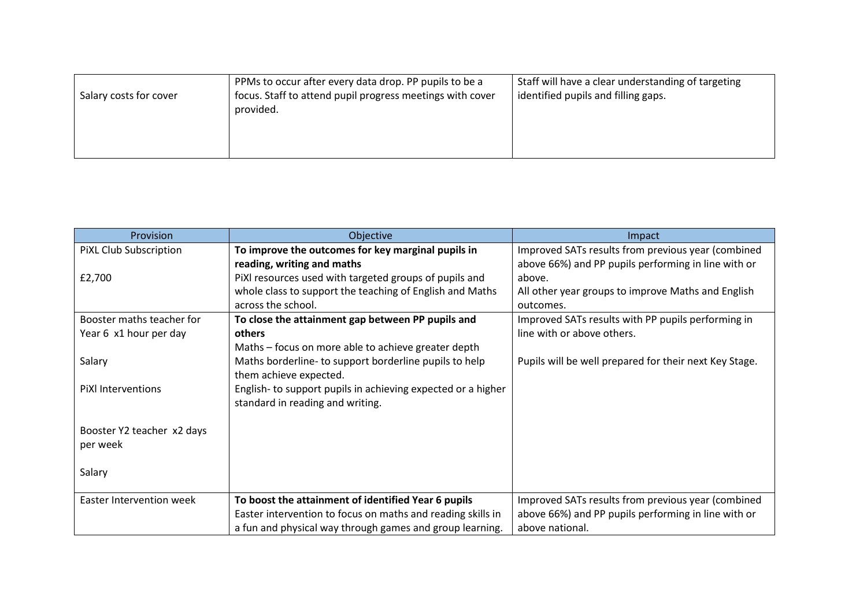| Salary costs for cover | PPMs to occur after every data drop. PP pupils to be a<br>focus. Staff to attend pupil progress meetings with cover<br>provided. | Staff will have a clear understanding of targeting<br>identified pupils and filling gaps. |
|------------------------|----------------------------------------------------------------------------------------------------------------------------------|-------------------------------------------------------------------------------------------|
|                        |                                                                                                                                  |                                                                                           |

| Provision                       | Objective                                                    | Impact                                                 |
|---------------------------------|--------------------------------------------------------------|--------------------------------------------------------|
| PIXL Club Subscription          | To improve the outcomes for key marginal pupils in           | Improved SATs results from previous year (combined     |
|                                 | reading, writing and maths                                   | above 66%) and PP pupils performing in line with or    |
| £2,700                          | PiXI resources used with targeted groups of pupils and       | above.                                                 |
|                                 | whole class to support the teaching of English and Maths     | All other year groups to improve Maths and English     |
|                                 | across the school.                                           | outcomes.                                              |
| Booster maths teacher for       | To close the attainment gap between PP pupils and            | Improved SATs results with PP pupils performing in     |
| Year 6 x1 hour per day          | others                                                       | line with or above others.                             |
|                                 | Maths - focus on more able to achieve greater depth          |                                                        |
| Salary                          | Maths borderline- to support borderline pupils to help       | Pupils will be well prepared for their next Key Stage. |
|                                 | them achieve expected.                                       |                                                        |
| PiXl Interventions              | English- to support pupils in achieving expected or a higher |                                                        |
|                                 | standard in reading and writing.                             |                                                        |
|                                 |                                                              |                                                        |
| Booster Y2 teacher x2 days      |                                                              |                                                        |
| per week                        |                                                              |                                                        |
|                                 |                                                              |                                                        |
| Salary                          |                                                              |                                                        |
|                                 |                                                              |                                                        |
| <b>Easter Intervention week</b> | To boost the attainment of identified Year 6 pupils          | Improved SATs results from previous year (combined     |
|                                 | Easter intervention to focus on maths and reading skills in  | above 66%) and PP pupils performing in line with or    |
|                                 | a fun and physical way through games and group learning.     | above national.                                        |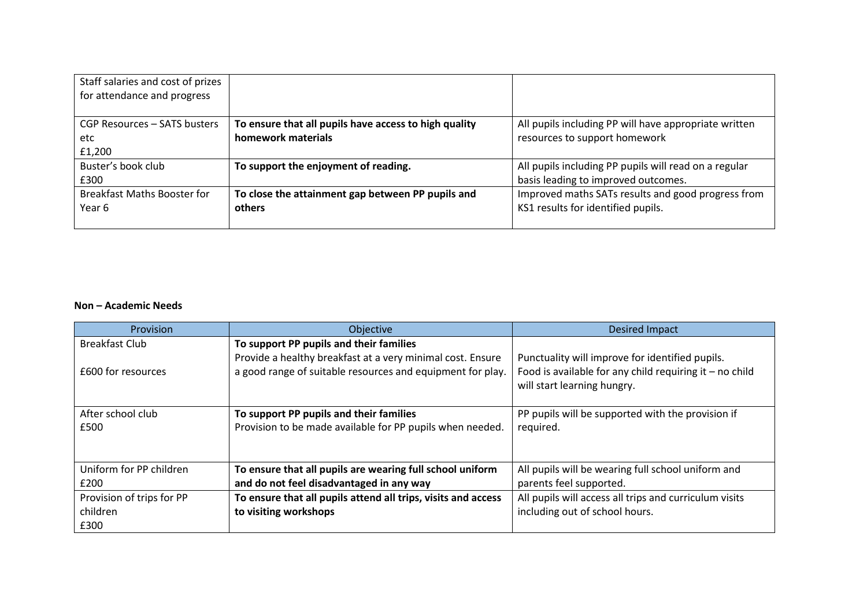| Staff salaries and cost of prizes  |                                                       |                                                       |
|------------------------------------|-------------------------------------------------------|-------------------------------------------------------|
| for attendance and progress        |                                                       |                                                       |
|                                    |                                                       |                                                       |
| CGP Resources - SATS busters       | To ensure that all pupils have access to high quality | All pupils including PP will have appropriate written |
| etc                                | homework materials                                    | resources to support homework                         |
| £1,200                             |                                                       |                                                       |
| Buster's book club                 | To support the enjoyment of reading.                  | All pupils including PP pupils will read on a regular |
| £300                               |                                                       | basis leading to improved outcomes.                   |
| <b>Breakfast Maths Booster for</b> | To close the attainment gap between PP pupils and     | Improved maths SATs results and good progress from    |
| Year 6                             | others                                                | KS1 results for identified pupils.                    |
|                                    |                                                       |                                                       |

### **Non – Academic Needs**

| <b>Provision</b>          | Objective                                                     | <b>Desired Impact</b>                                     |
|---------------------------|---------------------------------------------------------------|-----------------------------------------------------------|
| <b>Breakfast Club</b>     | To support PP pupils and their families                       |                                                           |
|                           | Provide a healthy breakfast at a very minimal cost. Ensure    | Punctuality will improve for identified pupils.           |
| £600 for resources        | a good range of suitable resources and equipment for play.    | Food is available for any child requiring it $-$ no child |
|                           |                                                               | will start learning hungry.                               |
|                           |                                                               |                                                           |
| After school club         | To support PP pupils and their families                       | PP pupils will be supported with the provision if         |
| £500                      | Provision to be made available for PP pupils when needed.     | required.                                                 |
|                           |                                                               |                                                           |
| Uniform for PP children   | To ensure that all pupils are wearing full school uniform     | All pupils will be wearing full school uniform and        |
| £200                      | and do not feel disadvantaged in any way                      | parents feel supported.                                   |
|                           |                                                               |                                                           |
| Provision of trips for PP | To ensure that all pupils attend all trips, visits and access | All pupils will access all trips and curriculum visits    |
| children                  | to visiting workshops                                         | including out of school hours.                            |
| £300                      |                                                               |                                                           |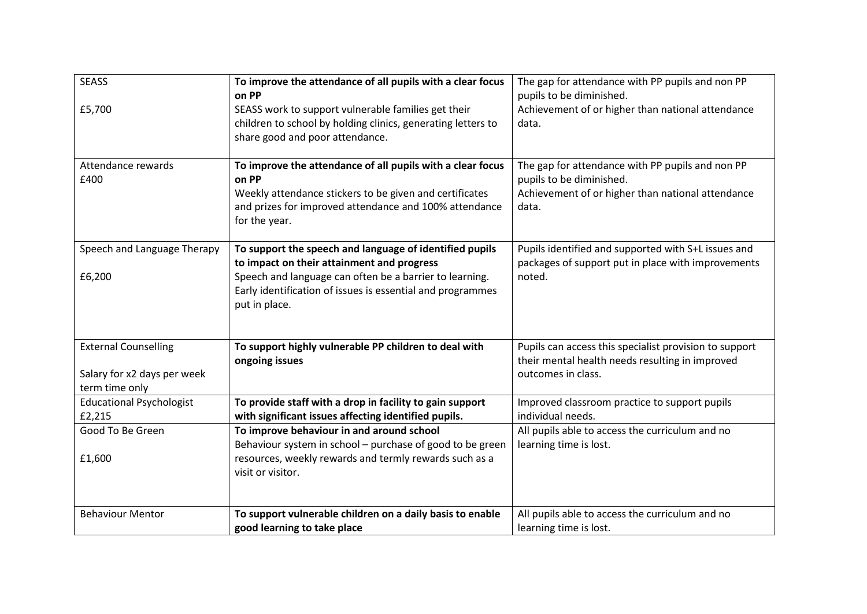| <b>SEASS</b>                                                                 | To improve the attendance of all pupils with a clear focus<br>on PP                                                                                                                                                                             | The gap for attendance with PP pupils and non PP<br>pupils to be diminished.                                                               |
|------------------------------------------------------------------------------|-------------------------------------------------------------------------------------------------------------------------------------------------------------------------------------------------------------------------------------------------|--------------------------------------------------------------------------------------------------------------------------------------------|
| £5,700                                                                       | SEASS work to support vulnerable families get their<br>children to school by holding clinics, generating letters to<br>share good and poor attendance.                                                                                          | Achievement of or higher than national attendance<br>data.                                                                                 |
| Attendance rewards<br>£400                                                   | To improve the attendance of all pupils with a clear focus<br>on PP<br>Weekly attendance stickers to be given and certificates<br>and prizes for improved attendance and 100% attendance<br>for the year.                                       | The gap for attendance with PP pupils and non PP<br>pupils to be diminished.<br>Achievement of or higher than national attendance<br>data. |
| Speech and Language Therapy<br>£6,200                                        | To support the speech and language of identified pupils<br>to impact on their attainment and progress<br>Speech and language can often be a barrier to learning.<br>Early identification of issues is essential and programmes<br>put in place. | Pupils identified and supported with S+L issues and<br>packages of support put in place with improvements<br>noted.                        |
| <b>External Counselling</b><br>Salary for x2 days per week<br>term time only | To support highly vulnerable PP children to deal with<br>ongoing issues                                                                                                                                                                         | Pupils can access this specialist provision to support<br>their mental health needs resulting in improved<br>outcomes in class.            |
| <b>Educational Psychologist</b><br>£2,215                                    | To provide staff with a drop in facility to gain support<br>with significant issues affecting identified pupils.                                                                                                                                | Improved classroom practice to support pupils<br>individual needs.                                                                         |
| Good To Be Green                                                             | To improve behaviour in and around school<br>Behaviour system in school - purchase of good to be green                                                                                                                                          | All pupils able to access the curriculum and no<br>learning time is lost.                                                                  |
| £1,600                                                                       | resources, weekly rewards and termly rewards such as a<br>visit or visitor.                                                                                                                                                                     |                                                                                                                                            |
| <b>Behaviour Mentor</b>                                                      | To support vulnerable children on a daily basis to enable<br>good learning to take place                                                                                                                                                        | All pupils able to access the curriculum and no<br>learning time is lost.                                                                  |